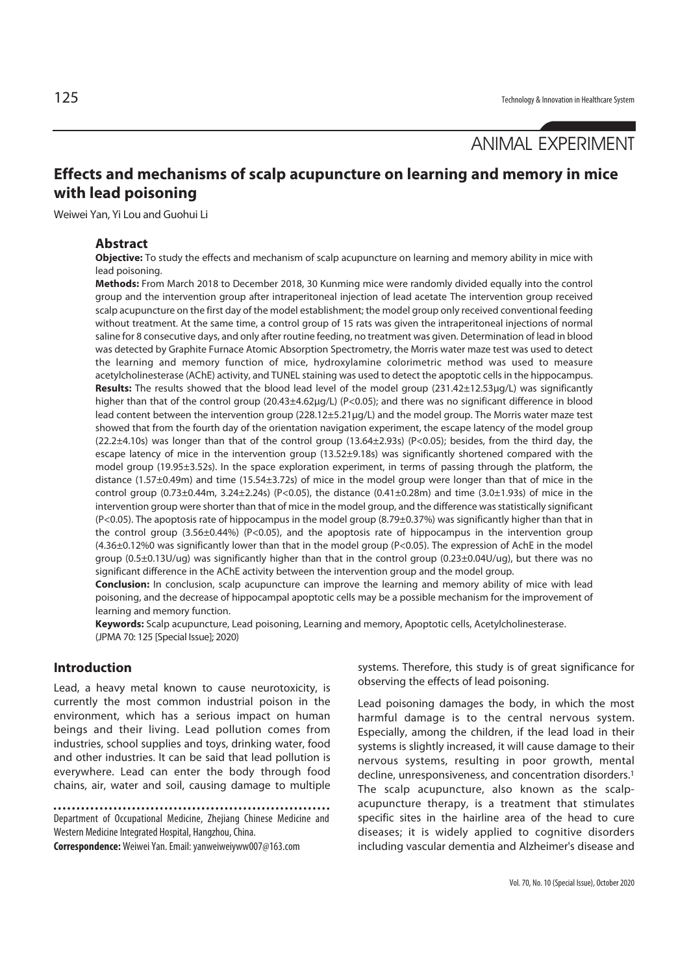# ANIMAL EXPERIMENT

# **Effects and mechanisms of scalp acupuncture on learning and memory in mice with lead poisoning**

Weiwei Yan, Yi Lou and Guohui Li

#### **Abstract**

**Objective:** To study the effects and mechanism of scalp acupuncture on learning and memory ability in mice with lead poisoning.

**Methods:** From March 2018 to December 2018, 30 Kunming mice were randomly divided equally into the control group and the intervention group after intraperitoneal injection of lead acetate The intervention group received scalp acupuncture on the first day of the model establishment; the model group only received conventional feeding without treatment. At the same time, a control group of 15 rats was given the intraperitoneal injections of normal saline for 8 consecutive days, and only after routine feeding, no treatment was given. Determination of lead in blood was detected by Graphite Furnace Atomic Absorption Spectrometry, the Morris water maze test was used to detect the learning and memory function of mice, hydroxylamine colorimetric method was used to measure acetylcholinesterase (AChE) activity, and TUNEL staining was used to detect the apoptotic cells in the hippocampus. **Results:** The results showed that the blood lead level of the model group (231.42±12.53μg/L) was significantly higher than that of the control group (20.43±4.62μg/L) (P<0.05); and there was no significant difference in blood lead content between the intervention group (228.12±5.21μg/L) and the model group. The Morris water maze test showed that from the fourth day of the orientation navigation experiment, the escape latency of the model group (22.2±4.10s) was longer than that of the control group (13.64±2.93s) (P<0.05); besides, from the third day, the escape latency of mice in the intervention group (13.52±9.18s) was significantly shortened compared with the model group (19.95±3.52s). In the space exploration experiment, in terms of passing through the platform, the distance (1.57±0.49m) and time (15.54±3.72s) of mice in the model group were longer than that of mice in the control group (0.73±0.44m, 3.24±2.24s) (P<0.05), the distance (0.41±0.28m) and time (3.0±1.93s) of mice in the intervention group were shorter than that of mice in the model group, and the difference was statistically significant (P<0.05). The apoptosis rate of hippocampus in the model group (8.79±0.37%) was significantly higher than that in the control group (3.56±0.44%) (P<0.05), and the apoptosis rate of hippocampus in the intervention group (4.36±0.12%0 was significantly lower than that in the model group (P<0.05). The expression of AchE in the model group (0.5±0.13U/ug) was significantly higher than that in the control group (0.23±0.04U/ug), but there was no significant difference in the AChE activity between the intervention group and the model group.

**Conclusion:** In conclusion, scalp acupuncture can improve the learning and memory ability of mice with lead poisoning, and the decrease of hippocampal apoptotic cells may be a possible mechanism for the improvement of learning and memory function.

**Keywords:** Scalp acupuncture, Lead poisoning, Learning and memory, Apoptotic cells, Acetylcholinesterase. (JPMA 70: 125 [Special Issue]; 2020)

## **Introduction**

Lead, a heavy metal known to cause neurotoxicity, is currently the most common industrial poison in the environment, which has a serious impact on human beings and their living. Lead pollution comes from industries, school supplies and toys, drinking water, food and other industries. It can be said that lead pollution is everywhere. Lead can enter the body through food chains, air, water and soil, causing damage to multiple

Department of Occupational Medicine, Zhejiang Chinese Medicine and Western Medicine Integrated Hospital, Hangzhou, China.

**Correspondence:** Weiwei Yan. Email: yanweiweiyww007@163.com

systems. Therefore, this study is of great significance for observing the effects of lead poisoning.

Lead poisoning damages the body, in which the most harmful damage is to the central nervous system. Especially, among the children, if the lead load in their systems is slightly increased, it will cause damage to their nervous systems, resulting in poor growth, mental decline, unresponsiveness, and concentration disorders.1 The scalp acupuncture, also known as the scalpacupuncture therapy, is a treatment that stimulates specific sites in the hairline area of the head to cure diseases; it is widely applied to cognitive disorders including vascular dementia and Alzheimer's disease and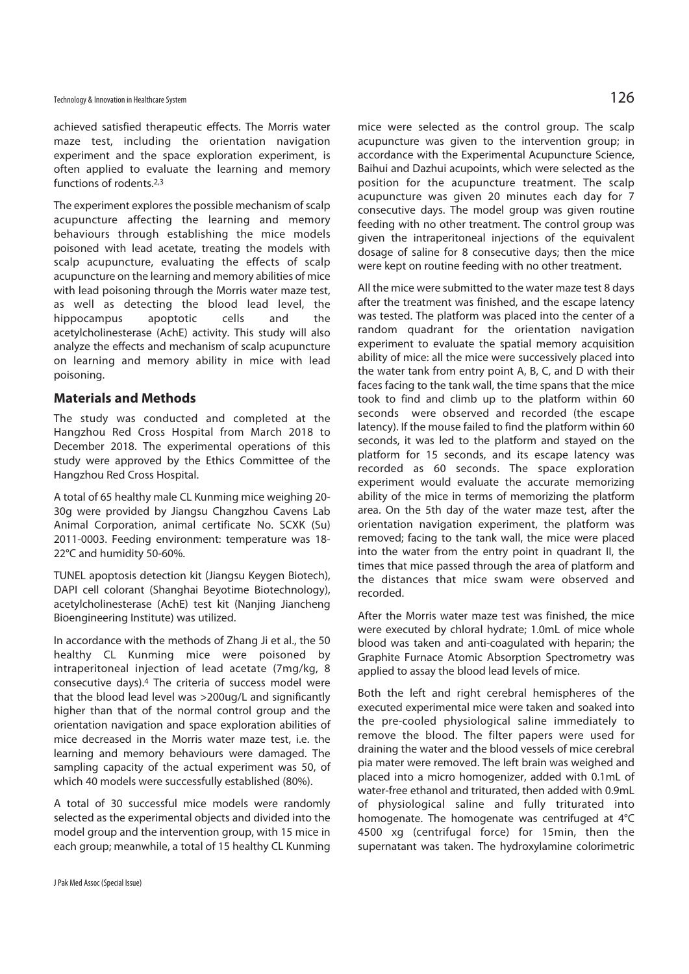achieved satisfied therapeutic effects. The Morris water maze test, including the orientation navigation experiment and the space exploration experiment, is often applied to evaluate the learning and memory functions of rodents.2,3

The experiment explores the possible mechanism of scalp acupuncture affecting the learning and memory behaviours through establishing the mice models poisoned with lead acetate, treating the models with scalp acupuncture, evaluating the effects of scalp acupuncture on the learning and memory abilities of mice with lead poisoning through the Morris water maze test, as well as detecting the blood lead level, the hippocampus apoptotic cells and the acetylcholinesterase (AchE) activity. This study will also analyze the effects and mechanism of scalp acupuncture on learning and memory ability in mice with lead poisoning.

# **Materials and Methods**

The study was conducted and completed at the Hangzhou Red Cross Hospital from March 2018 to December 2018. The experimental operations of this study were approved by the Ethics Committee of the Hangzhou Red Cross Hospital.

A total of 65 healthy male CL Kunming mice weighing 20- 30g were provided by Jiangsu Changzhou Cavens Lab Animal Corporation, animal certificate No. SCXK (Su) 2011-0003. Feeding environment: temperature was 18- 22°C and humidity 50-60%.

TUNEL apoptosis detection kit (Jiangsu Keygen Biotech), DAPI cell colorant (Shanghai Beyotime Biotechnology), acetylcholinesterase (AchE) test kit (Nanjing Jiancheng Bioengineering Institute) was utilized.

In accordance with the methods of Zhang Ji et al., the 50 healthy CL Kunming mice were poisoned by intraperitoneal injection of lead acetate (7mg/kg, 8 consecutive days).4 The criteria of success model were that the blood lead level was >200ug/L and significantly higher than that of the normal control group and the orientation navigation and space exploration abilities of mice decreased in the Morris water maze test, i.e. the learning and memory behaviours were damaged. The sampling capacity of the actual experiment was 50, of which 40 models were successfully established (80%).

A total of 30 successful mice models were randomly selected as the experimental objects and divided into the model group and the intervention group, with 15 mice in each group; meanwhile, a total of 15 healthy CL Kunming

mice were selected as the control group. The scalp acupuncture was given to the intervention group; in accordance with the Experimental Acupuncture Science, Baihui and Dazhui acupoints, which were selected as the position for the acupuncture treatment. The scalp acupuncture was given 20 minutes each day for 7 consecutive days. The model group was given routine feeding with no other treatment. The control group was given the intraperitoneal injections of the equivalent dosage of saline for 8 consecutive days; then the mice were kept on routine feeding with no other treatment.

All the mice were submitted to the water maze test 8 days after the treatment was finished, and the escape latency was tested. The platform was placed into the center of a random quadrant for the orientation navigation experiment to evaluate the spatial memory acquisition ability of mice: all the mice were successively placed into the water tank from entry point A, B, C, and D with their faces facing to the tank wall, the time spans that the mice took to find and climb up to the platform within 60 seconds were observed and recorded (the escape latency). If the mouse failed to find the platform within 60 seconds, it was led to the platform and stayed on the platform for 15 seconds, and its escape latency was recorded as 60 seconds. The space exploration experiment would evaluate the accurate memorizing ability of the mice in terms of memorizing the platform area. On the 5th day of the water maze test, after the orientation navigation experiment, the platform was removed; facing to the tank wall, the mice were placed into the water from the entry point in quadrant II, the times that mice passed through the area of platform and the distances that mice swam were observed and recorded.

After the Morris water maze test was finished, the mice were executed by chloral hydrate; 1.0mL of mice whole blood was taken and anti-coagulated with heparin; the Graphite Furnace Atomic Absorption Spectrometry was applied to assay the blood lead levels of mice.

Both the left and right cerebral hemispheres of the executed experimental mice were taken and soaked into the pre-cooled physiological saline immediately to remove the blood. The filter papers were used for draining the water and the blood vessels of mice cerebral pia mater were removed. The left brain was weighed and placed into a micro homogenizer, added with 0.1mL of water-free ethanol and triturated, then added with 0.9mL of physiological saline and fully triturated into homogenate. The homogenate was centrifuged at 4°C 4500 xg (centrifugal force) for 15min, then the supernatant was taken. The hydroxylamine colorimetric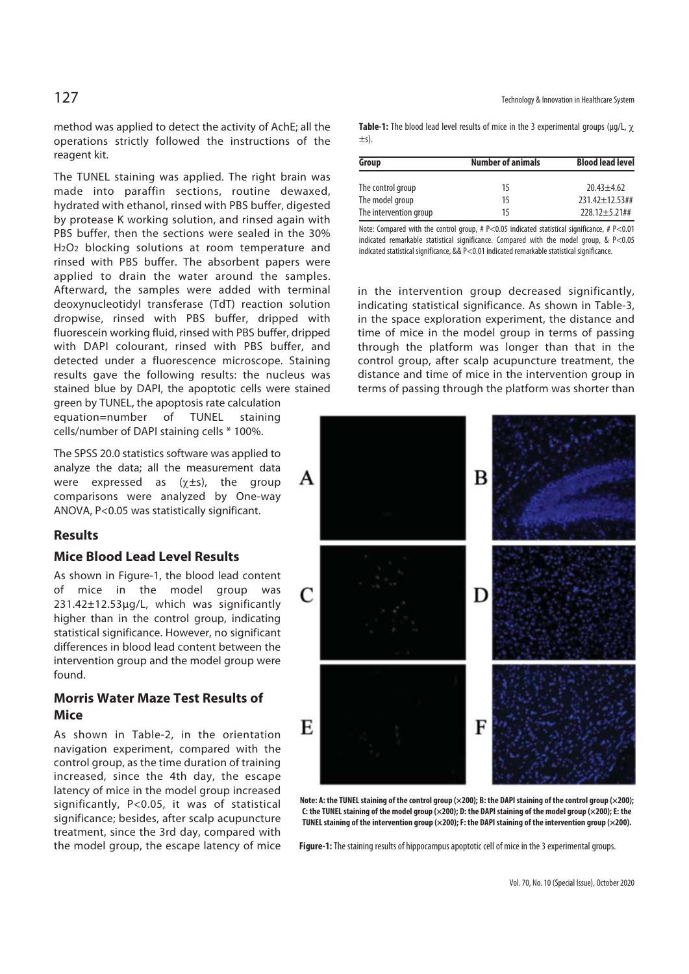method was applied to detect the activity of AchE; all the operations strictly followed the instructions of the reagent kit.

The TUNEL staining was applied. The right brain was made into paraffin sections, routine dewaxed, hydrated with ethanol, rinsed with PBS buffer, digested by protease K working solution, and rinsed again with PBS buffer, then the sections were sealed in the 30% H2O2 blocking solutions at room temperature and rinsed with PBS buffer. The absorbent papers were applied to drain the water around the samples. Afterward, the samples were added with terminal deoxynucleotidyl transferase (TdT) reaction solution dropwise, rinsed with PBS buffer, dripped with fluorescein working fluid, rinsed with PBS buffer, dripped with DAPI colourant, rinsed with PBS buffer, and detected under a fluorescence microscope. Staining results gave the following results: the nucleus was stained blue by DAPI, the apoptotic cells were stained

green by TUNEL, the apoptosis rate calculation equation=number of TUNEL staining cells/number of DAPI staining cells \* 100%.

The SPSS 20.0 statistics software was applied to analyze the data; all the measurement data were expressed as  $(\chi \pm s)$ , the group comparisons were analyzed by One-way ANOVA, P<0.05 was statistically significant.

# **Results**

# **Mice Blood Lead Level Results**

As shown in Figure-1, the blood lead content of mice in the model group was 231.42±12.53μg/L, which was significantly higher than in the control group, indicating statistical significance. However, no significant differences in blood lead content between the intervention group and the model group were found.

# **Morris Water Maze Test Results of Mice**

As shown in Table-2, in the orientation navigation experiment, compared with the control group, as the time duration of training increased, since the 4th day, the escape latency of mice in the model group increased significantly, P<0.05, it was of statistical significance; besides, after scalp acupuncture treatment, since the 3rd day, compared with the model group, the escape latency of mice

 $127$  Technology & Innovation in Healthcare System

**Table-1:** The blood lead level results of mice in the 3 experimental groups (μg/L, χ  $+\varsigma$ ).

| Group                  | <b>Number of animals</b> | <b>Blood lead level</b> |  |
|------------------------|--------------------------|-------------------------|--|
| The control group      | 15                       | $20.43 + 4.62$          |  |
| The model group        | 15                       | $731.47 + 17.53$ ##     |  |
| The intervention group | 15                       | $228.12 + 5.21$ ##      |  |

Note: Compared with the control group, #  $P < 0.05$  indicated statistical significance, #  $P < 0.01$ indicated remarkable statistical significance. Compared with the model group, & P<0.05 indicated statistical significance, && P<0.01 indicated remarkable statistical significance.

in the intervention group decreased significantly, indicating statistical significance. As shown in Table-3, in the space exploration experiment, the distance and time of mice in the model group in terms of passing through the platform was longer than that in the control group, after scalp acupuncture treatment, the distance and time of mice in the intervention group in terms of passing through the platform was shorter than



**Note: A: the TUNEL staining of the control group (×200); B: the DAPI staining of the control group (×200); C: the TUNEL staining of the model group (×200); D: the DAPI staining of the model group (×200); E: the TUNEL staining of the intervention group (×200); F: the DAPI staining of the intervention group (×200).** 

**Figure-1:** The staining results of hippocampus apoptotic cell of mice in the 3 experimental groups.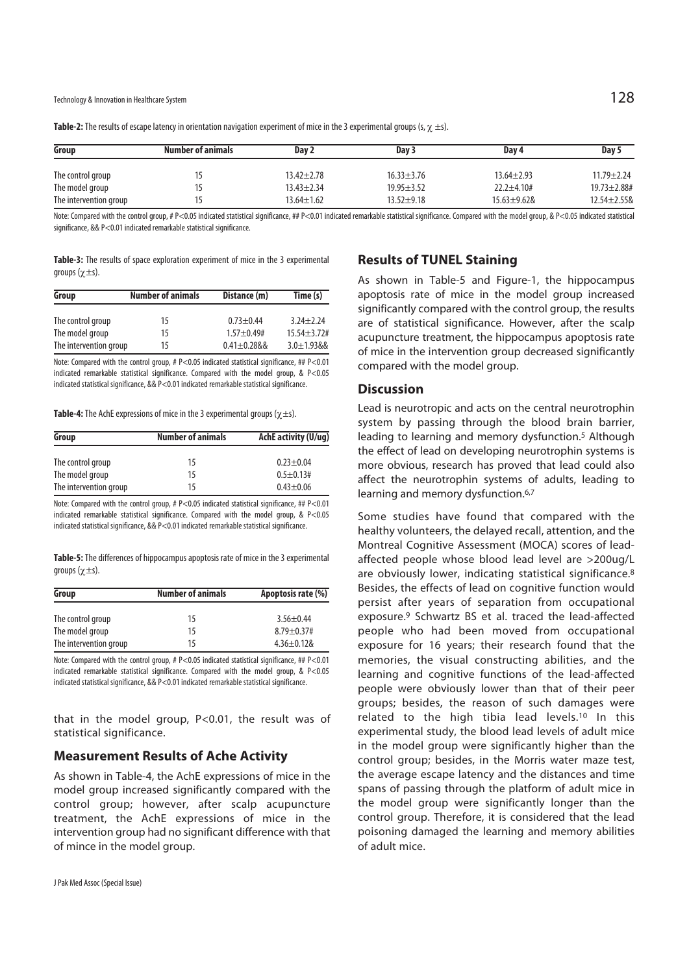| Group                  | <b>Number of animals</b> | Day 2            | Day 3            | Dav <sub>4</sub> | Day 5              |
|------------------------|--------------------------|------------------|------------------|------------------|--------------------|
| The control group      |                          | $13.42 \pm 2.78$ | $16.33 \pm 3.76$ | $13.64 \pm 2.93$ | $11.79 + 2.24$     |
| The model group        |                          | $13.43 + 2.34$   | $19.95 + 3.52$   | $22.2 + 4.10#$   | $19.73 \pm 2.88$ # |
| The intervention group |                          | $13.64 \pm 1.62$ | $13.52 + 9.18$   | $15.63 + 9.628$  | 12.54±2.55&        |

**Table-2:** The results of escape latency in orientation navigation experiment of mice in the 3 experimental groups (s, χ ±s).

Note: Compared with the control group, # P<0.05 indicated statistical significance, ## P<0.01 indicated remarkable statistical significance. Compared with the model group, & P<0.05 indicated statistical significance, && P<0.01 indicated remarkable statistical significance.

**Table-3:** The results of space exploration experiment of mice in the 3 experimental groups (χ±s).

| Group                  | <b>Number of animals</b> | Distance (m)    | Time (s)        |
|------------------------|--------------------------|-----------------|-----------------|
| The control group      | 15                       | $0.73 + 0.44$   | $3.24 + 2.24$   |
| The model group        | 15                       | $1.57 + 0.49$ # | $15.54 + 3.72#$ |
| The intervention group | 15                       | $0.41 + 0.2888$ | $3.0 + 1.9388$  |

Note: Compared with the control group, # P<0.05 indicated statistical significance, ## P<0.01 indicated remarkable statistical significance. Compared with the model group, & P<0.05 indicated statistical significance, && P<0.01 indicated remarkable statistical significance.

**Table-4:** The AchE expressions of mice in the 3 experimental groups (χ±s).

| Group                  | <b>Number of animals</b> | AchE activity (U/ug) |  |
|------------------------|--------------------------|----------------------|--|
| The control group      | 15                       | $0.23 + 0.04$        |  |
| The model group        | 15                       | $0.5 + 0.13#$        |  |
| The intervention group | 15                       | $0.43 + 0.06$        |  |

Note: Compared with the control group, # P<0.05 indicated statistical significance, ## P<0.01 indicated remarkable statistical significance. Compared with the model group, &  $P<0.05$ indicated statistical significance, && P<0.01 indicated remarkable statistical significance.

**Table-5:** The differences of hippocampus apoptosis rate of mice in the 3 experimental groups (χ±s).

| Group                  | <b>Number of animals</b> | Apoptosis rate (%) |  |
|------------------------|--------------------------|--------------------|--|
| The control group      | 15                       | $3.56 + 0.44$      |  |
| The model group        | 15                       | $8.79 \pm 0.37$ #  |  |
| The intervention group | 15                       | $4.36 \pm 0.128$   |  |

Note: Compared with the control group, #  $P < 0.05$  indicated statistical significance, ##  $P < 0.01$ indicated remarkable statistical significance. Compared with the model group, & P<0.05 indicated statistical significance, && P<0.01 indicated remarkable statistical significance.

that in the model group, P<0.01, the result was of statistical significance.

# **Measurement Results of Ache Activity**

As shown in Table-4, the AchE expressions of mice in the model group increased significantly compared with the control group; however, after scalp acupuncture treatment, the AchE expressions of mice in the intervention group had no significant difference with that of mince in the model group.

#### **Results of TUNEL Staining**

As shown in Table-5 and Figure-1, the hippocampus apoptosis rate of mice in the model group increased significantly compared with the control group, the results are of statistical significance. However, after the scalp acupuncture treatment, the hippocampus apoptosis rate of mice in the intervention group decreased significantly compared with the model group.

#### **Discussion**

Lead is neurotropic and acts on the central neurotrophin system by passing through the blood brain barrier, leading to learning and memory dysfunction.<sup>5</sup> Although the effect of lead on developing neurotrophin systems is more obvious, research has proved that lead could also affect the neurotrophin systems of adults, leading to learning and memory dysfunction.<sup>6,7</sup>

Some studies have found that compared with the healthy volunteers, the delayed recall, attention, and the Montreal Cognitive Assessment (MOCA) scores of leadaffected people whose blood lead level are >200ug/L are obviously lower, indicating statistical significance.<sup>8</sup> Besides, the effects of lead on cognitive function would persist after years of separation from occupational exposure.9 Schwartz BS et al. traced the lead-affected people who had been moved from occupational exposure for 16 years; their research found that the memories, the visual constructing abilities, and the learning and cognitive functions of the lead-affected people were obviously lower than that of their peer groups; besides, the reason of such damages were related to the high tibia lead levels.10 In this experimental study, the blood lead levels of adult mice in the model group were significantly higher than the control group; besides, in the Morris water maze test, the average escape latency and the distances and time spans of passing through the platform of adult mice in the model group were significantly longer than the control group. Therefore, it is considered that the lead poisoning damaged the learning and memory abilities of adult mice.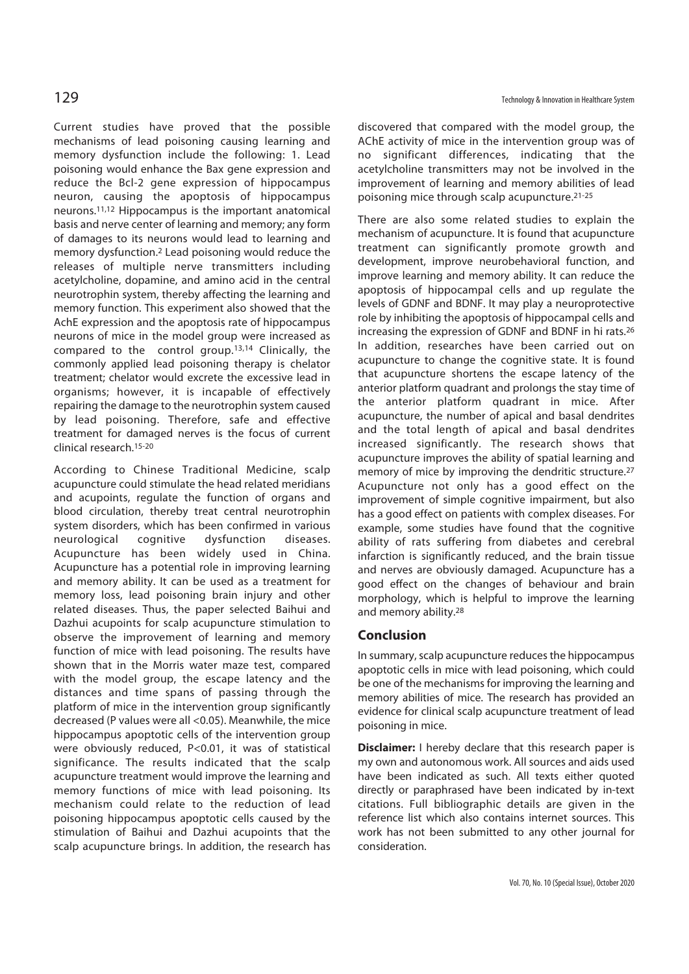Current studies have proved that the possible mechanisms of lead poisoning causing learning and memory dysfunction include the following: 1. Lead poisoning would enhance the Bax gene expression and reduce the Bcl-2 gene expression of hippocampus neuron, causing the apoptosis of hippocampus neurons.11,12 Hippocampus is the important anatomical basis and nerve center of learning and memory; any form of damages to its neurons would lead to learning and memory dysfunction.2 Lead poisoning would reduce the releases of multiple nerve transmitters including acetylcholine, dopamine, and amino acid in the central neurotrophin system, thereby affecting the learning and memory function. This experiment also showed that the AchE expression and the apoptosis rate of hippocampus neurons of mice in the model group were increased as compared to the control group.13,14 Clinically, the commonly applied lead poisoning therapy is chelator treatment; chelator would excrete the excessive lead in organisms; however, it is incapable of effectively repairing the damage to the neurotrophin system caused by lead poisoning. Therefore, safe and effective treatment for damaged nerves is the focus of current clinical research.15-20

According to Chinese Traditional Medicine, scalp acupuncture could stimulate the head related meridians and acupoints, regulate the function of organs and blood circulation, thereby treat central neurotrophin system disorders, which has been confirmed in various neurological cognitive dysfunction diseases. Acupuncture has been widely used in China. Acupuncture has a potential role in improving learning and memory ability. It can be used as a treatment for memory loss, lead poisoning brain injury and other related diseases. Thus, the paper selected Baihui and Dazhui acupoints for scalp acupuncture stimulation to observe the improvement of learning and memory function of mice with lead poisoning. The results have shown that in the Morris water maze test, compared with the model group, the escape latency and the distances and time spans of passing through the platform of mice in the intervention group significantly decreased (P values were all <0.05). Meanwhile, the mice hippocampus apoptotic cells of the intervention group were obviously reduced, P<0.01, it was of statistical significance. The results indicated that the scalp acupuncture treatment would improve the learning and memory functions of mice with lead poisoning. Its mechanism could relate to the reduction of lead poisoning hippocampus apoptotic cells caused by the stimulation of Baihui and Dazhui acupoints that the scalp acupuncture brings. In addition, the research has

discovered that compared with the model group, the AChE activity of mice in the intervention group was of no significant differences, indicating that the acetylcholine transmitters may not be involved in the improvement of learning and memory abilities of lead poisoning mice through scalp acupuncture.21-25

There are also some related studies to explain the mechanism of acupuncture. It is found that acupuncture treatment can significantly promote growth and development, improve neurobehavioral function, and improve learning and memory ability. It can reduce the apoptosis of hippocampal cells and up regulate the levels of GDNF and BDNF. It may play a neuroprotective role by inhibiting the apoptosis of hippocampal cells and increasing the expression of GDNF and BDNF in hi rats.26 In addition, researches have been carried out on acupuncture to change the cognitive state. It is found that acupuncture shortens the escape latency of the anterior platform quadrant and prolongs the stay time of the anterior platform quadrant in mice. After acupuncture, the number of apical and basal dendrites and the total length of apical and basal dendrites increased significantly. The research shows that acupuncture improves the ability of spatial learning and memory of mice by improving the dendritic structure.27 Acupuncture not only has a good effect on the improvement of simple cognitive impairment, but also has a good effect on patients with complex diseases. For example, some studies have found that the cognitive ability of rats suffering from diabetes and cerebral infarction is significantly reduced, and the brain tissue and nerves are obviously damaged. Acupuncture has a good effect on the changes of behaviour and brain morphology, which is helpful to improve the learning and memory ability.28

# **Conclusion**

In summary, scalp acupuncture reduces the hippocampus apoptotic cells in mice with lead poisoning, which could be one of the mechanisms for improving the learning and memory abilities of mice. The research has provided an evidence for clinical scalp acupuncture treatment of lead poisoning in mice.

**Disclaimer:** I hereby declare that this research paper is my own and autonomous work. All sources and aids used have been indicated as such. All texts either quoted directly or paraphrased have been indicated by in-text citations. Full bibliographic details are given in the reference list which also contains internet sources. This work has not been submitted to any other journal for consideration.